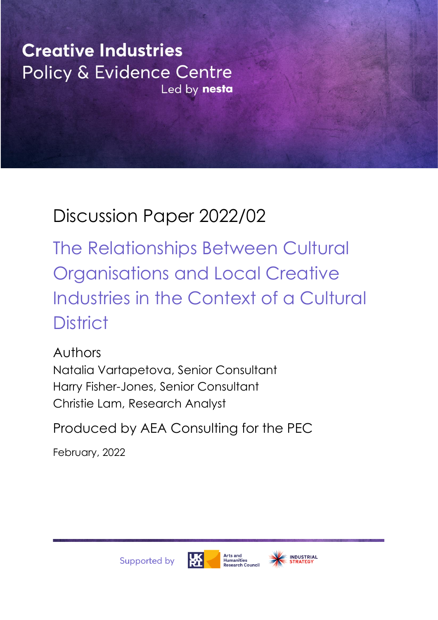**Creative Industries** Policy & Evidence Centre Led by nesta

# Discussion Paper 2022/02

The Relationships Between Cultural Organisations and Local Creative Industries in the Context of a Cultural **District** 

Authors Natalia Vartapetova, Senior Consultant Harry Fisher-Jones, Senior Consultant Christie Lam, Research Analyst

Produced by AEA Consulting for the PEC

February, 2022





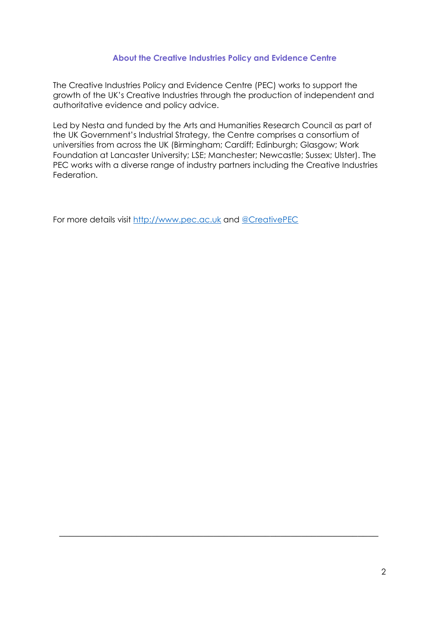#### **About the Creative Industries Policy and Evidence Centre**

The Creative Industries Policy and Evidence Centre (PEC) works to support the growth of the UK's Creative Industries through the production of independent and authoritative evidence and policy advice.

Led by Nesta and funded by the Arts and Humanities Research Council as part of the UK Government's Industrial Strategy, the Centre comprises a consortium of universities from across the UK (Birmingham; Cardiff; Edinburgh; Glasgow; Work Foundation at Lancaster University; LSE; Manchester; Newcastle; Sussex; Ulster). The PEC works with a diverse range of industry partners including the Creative Industries Federation.

 $\_$  , and the set of the set of the set of the set of the set of the set of the set of the set of the set of the set of the set of the set of the set of the set of the set of the set of the set of the set of the set of th

For more details visit [http://www.pec.ac.uk](http://www.pec.ac.uk/) and [@CreativePEC](http://www.twitter.com/creativePEC)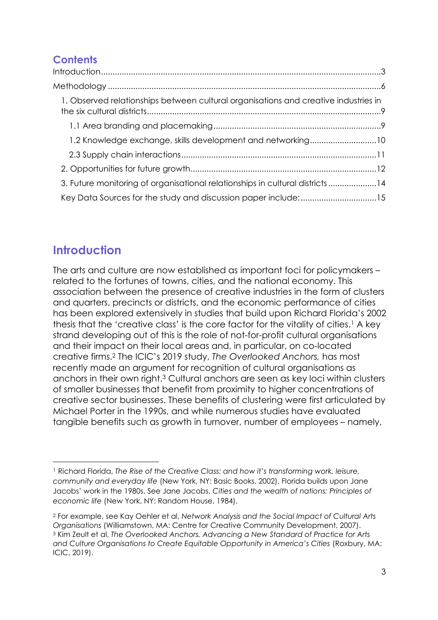## **Contents**

| 1. Observed relationships between cultural organisations and creative industries in |  |
|-------------------------------------------------------------------------------------|--|
|                                                                                     |  |
| 1.2 Knowledge exchange, skills development and networking10                         |  |
|                                                                                     |  |
|                                                                                     |  |
| 3. Future monitoring of organisational relationships in cultural districts14        |  |
| Key Data Sources for the study and discussion paper include:15                      |  |

# <span id="page-2-0"></span>**Introduction**

The arts and culture are now established as important foci for policymakers – related to the fortunes of towns, cities, and the national economy. This association between the presence of creative industries in the form of clusters and quarters, precincts or districts, and the economic performance of cities has been explored extensively in studies that build upon Richard Florida's 2002 thesis that the 'creative class' is the core factor for the vitality of cities. <sup>1</sup> A key strand developing out of this is the role of not-for-profit cultural organisations and their impact on their local areas and, in particular, on co-located creative firms.<sup>2</sup> The ICIC's 2019 study, *The Overlooked Anchors,* has most recently made an argument for recognition of cultural organisations as anchors in their own right.<sup>3</sup> Cultural anchors are seen as key loci within clusters of smaller businesses that benefit from proximity to higher concentrations of creative sector businesses. These benefits of clustering were first articulated by Michael Porter in the 1990s, and while numerous studies have evaluated tangible benefits such as growth in turnover, number of employees – namely,

<sup>1</sup> Richard Florida, *The Rise of the Creative Class: and how it's transforming work, leisure, community and everyday life* (New York, NY: Basic Books, 2002). Florida builds upon Jane Jacobs' work in the 1980s. See Jane Jacobs, *Cities and the wealth of nations: Principles of economic life* (New York, NY: Random House, 1984).

<sup>2</sup> For example, see Kay Oehler et al, *Network Analysis and the Social Impact of Cultural Arts Organisations* (Williamstown, MA: Centre for Creative Community Development, 2007). <sup>3</sup> Kim Zeult et al, *The Overlooked Anchors. Advancing a New Standard of Practice for Arts and Culture Organisations to Create Equitable Opportunity in America's Cities* (Roxbury, MA: ICIC, 2019).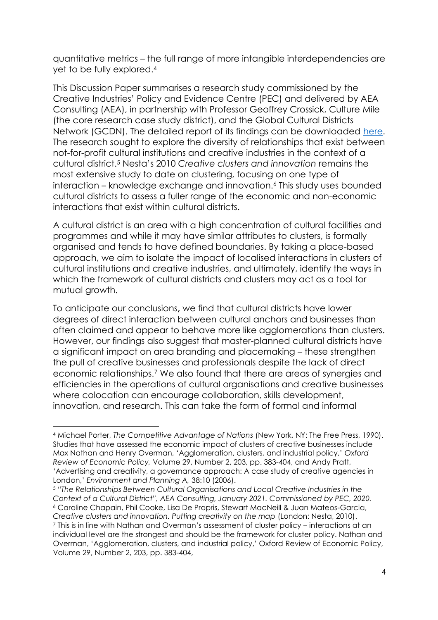quantitative metrics – the full range of more intangible interdependencies are yet to be fully explored.<sup>4</sup>

This Discussion Paper summarises a research study commissioned by the Creative Industries' Policy and Evidence Centre (PEC) and delivered by AEA Consulting (AEA), in partnership with Professor Geoffrey Crossick, Culture Mile (the core research case study district), and the Global Cultural Districts Network (GCDN). The detailed report of its findings can be downloaded [here.](https://aeaconsulting.com/uploads/1200012/161169714481/AEA_PEC_Report_20210126.pdf) The research sought to explore the diversity of relationships that exist between not-for-profit cultural institutions and creative industries in the context of a cultural district.<sup>5</sup> Nesta's 2010 *Creative clusters and innovation* remains the most extensive study to date on clustering, focusing on one type of interaction – knowledge exchange and innovation.<sup>6</sup> This study uses bounded cultural districts to assess a fuller range of the economic and non-economic interactions that exist within cultural districts.

A cultural district is an area with a high concentration of cultural facilities and programmes and while it may have similar attributes to clusters, is formally organised and tends to have defined boundaries. By taking a place-based approach, we aim to isolate the impact of localised interactions in clusters of cultural institutions and creative industries, and ultimately, identify the ways in which the framework of cultural districts and clusters may act as a tool for mutual growth.

To anticipate our conclusions**,** we find that cultural districts have lower degrees of direct interaction between cultural anchors and businesses than often claimed and appear to behave more like agglomerations than clusters. However, our findings also suggest that master-planned cultural districts have a significant impact on area branding and placemaking – these strengthen the pull of creative businesses and professionals despite the lack of direct economic relationships.<sup>7</sup> We also found that there are areas of synergies and efficiencies in the operations of cultural organisations and creative businesses where colocation can encourage collaboration, skills development, innovation, and research. This can take the form of formal and informal

<sup>5</sup> *"The Relationships Between Cultural Organisations and Local Creative Industries in the Context of a Cultural District", AEA Consulting, January 2021. Commissioned by PEC, 2020.* <sup>6</sup> Caroline Chapain, Phil Cooke, Lisa De Propris, Stewart MacNeill & Juan Mateos-Garcia, *Creative clusters and innovation. Putting creativity on the map* (London: Nesta, 2010). <sup>7</sup> This is in line with Nathan and Overman's assessment of cluster policy – interactions at an individual level are the strongest and should be the framework for cluster policy. Nathan and Overman, 'Agglomeration, clusters, and industrial policy,' Oxford Review of Economic Policy, Volume 29, Number 2, 203, pp. 383-404,

<sup>4</sup> Michael Porter, *The Competitive Advantage of Nations* (New York, NY: The Free Press, 1990). Studies that have assessed the economic impact of clusters of creative businesses include Max Nathan and Henry Overman, 'Agglomeration, clusters, and industrial policy,' *Oxford Review of Economic Policy,* Volume 29, Number 2, 203, pp. 383-404, and Andy Pratt, 'Advertising and creativity, a governance approach: A case study of creative agencies in London,' *Environment and Planning A,* 38:10 (2006).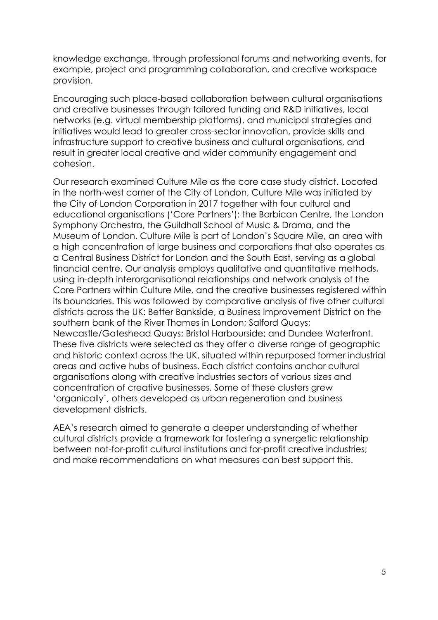knowledge exchange, through professional forums and networking events, for example, project and programming collaboration, and creative workspace provision.

Encouraging such place-based collaboration between cultural organisations and creative businesses through tailored funding and R&D initiatives, local networks (e.g. virtual membership platforms), and municipal strategies and initiatives would lead to greater cross-sector innovation, provide skills and infrastructure support to creative business and cultural organisations, and result in greater local creative and wider community engagement and cohesion.

Our research examined Culture Mile as the core case study district. Located in the north-west corner of the City of London, Culture Mile was initiated by the City of London Corporation in 2017 together with four cultural and educational organisations ('Core Partners'): the Barbican Centre, the London Symphony Orchestra, the Guildhall School of Music & Drama, and the Museum of London. Culture Mile is part of London's Square Mile, an area with a high concentration of large business and corporations that also operates as a Central Business District for London and the South East, serving as a global financial centre. Our analysis employs qualitative and quantitative methods, using in-depth interorganisational relationships and network analysis of the Core Partners within Culture Mile, and the creative businesses registered within its boundaries. This was followed by comparative analysis of five other cultural districts across the UK: Better Bankside, a Business Improvement District on the southern bank of the River Thames in London; Salford Quays; Newcastle/Gateshead Quays; Bristol Harbourside; and Dundee Waterfront. These five districts were selected as they offer a diverse range of geographic and historic context across the UK, situated within repurposed former industrial areas and active hubs of business. Each district contains anchor cultural organisations along with creative industries sectors of various sizes and concentration of creative businesses. Some of these clusters grew 'organically', others developed as urban regeneration and business development districts.

AEA's research aimed to generate a deeper understanding of whether cultural districts provide a framework for fostering a synergetic relationship between not-for-profit cultural institutions and for-profit creative industries; and make recommendations on what measures can best support this.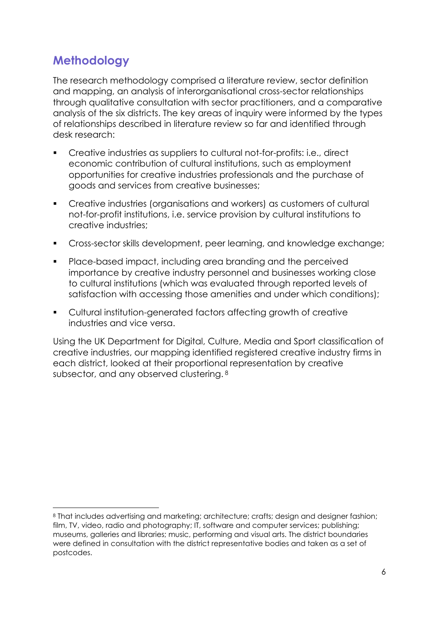# <span id="page-5-0"></span>**Methodology**

The research methodology comprised a literature review, sector definition and mapping, an analysis of interorganisational cross-sector relationships through qualitative consultation with sector practitioners, and a comparative analysis of the six districts. The key areas of inquiry were informed by the types of relationships described in literature review so far and identified through desk research:

- Creative industries as suppliers to cultural not-for-profits: i.e., direct economic contribution of cultural institutions, such as employment opportunities for creative industries professionals and the purchase of goods and services from creative businesses;
- Creative industries (organisations and workers) as customers of cultural not-for-profit institutions, i.e. service provision by cultural institutions to creative industries;
- Cross-sector skills development, peer learning, and knowledge exchange;
- Place-based impact, including area branding and the perceived importance by creative industry personnel and businesses working close to cultural institutions (which was evaluated through reported levels of satisfaction with accessing those amenities and under which conditions);
- Cultural institution-generated factors affecting growth of creative industries and vice versa.

Using the UK Department for Digital, Culture, Media and Sport classification of creative industries, our mapping identified registered creative industry firms in each district, looked at their proportional representation by creative subsector, and any observed clustering. 8

<sup>8</sup> That includes advertising and marketing; architecture; crafts; design and designer fashion; film, TV, video, radio and photography; IT, software and computer services; publishing; museums, galleries and libraries; music, performing and visual arts. The district boundaries were defined in consultation with the district representative bodies and taken as a set of postcodes.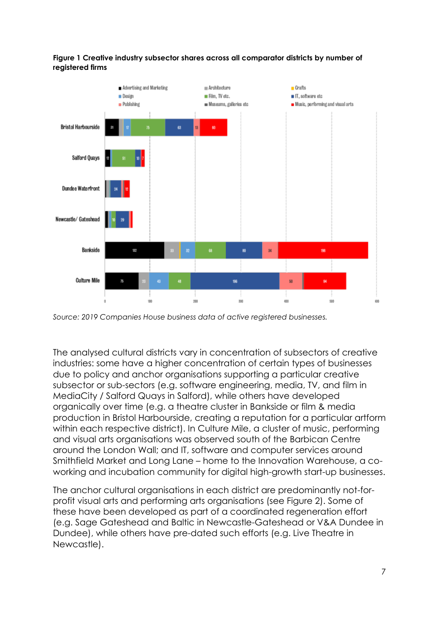



*Source: 2019 Companies House business data of active registered businesses.*

The analysed cultural districts vary in concentration of subsectors of creative industries: some have a higher concentration of certain types of businesses due to policy and anchor organisations supporting a particular creative subsector or sub-sectors (e.g. software engineering, media, TV, and film in MediaCity / Salford Quays in Salford), while others have developed organically over time (e.g. a theatre cluster in Bankside or film & media production in Bristol Harbourside, creating a reputation for a particular artform within each respective district). In Culture Mile, a cluster of music, performing and visual arts organisations was observed south of the Barbican Centre around the London Wall; and IT, software and computer services around Smithfield Market and Long Lane – home to the Innovation Warehouse, a coworking and incubation community for digital high-growth start-up businesses.

The anchor cultural organisations in each district are predominantly not-forprofit visual arts and performing arts organisations (see Figure 2). Some of these have been developed as part of a coordinated regeneration effort (e.g. Sage Gateshead and Baltic in Newcastle-Gateshead or V&A Dundee in Dundee), while others have pre-dated such efforts (e.g. Live Theatre in Newcastle).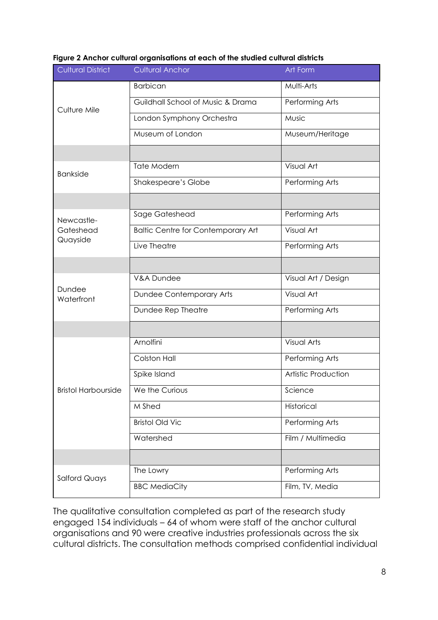| <b>Cultural District</b>            | <b>Cultural Anchor</b>                    | Art Form            |
|-------------------------------------|-------------------------------------------|---------------------|
| Culture Mile                        | <b>Barbican</b>                           | Multi-Arts          |
|                                     | Guildhall School of Music & Drama         | Performing Arts     |
|                                     | London Symphony Orchestra                 | Music               |
|                                     | Museum of London                          | Museum/Heritage     |
|                                     |                                           |                     |
| <b>Bankside</b>                     | Tate Modern                               | Visual Art          |
|                                     | Shakespeare's Globe                       | Performing Arts     |
|                                     |                                           |                     |
| Newcastle-<br>Gateshead<br>Quayside | Sage Gateshead                            | Performing Arts     |
|                                     | <b>Baltic Centre for Contemporary Art</b> | Visual Art          |
|                                     | Live Theatre                              | Performing Arts     |
|                                     |                                           |                     |
| Dundee<br>Waterfront                | V&A Dundee                                | Visual Art / Design |
|                                     | <b>Dundee Contemporary Arts</b>           | Visual Art          |
|                                     | Dundee Rep Theatre                        | Performing Arts     |
|                                     |                                           |                     |
| <b>Bristol Harbourside</b>          | Arnolfini                                 | <b>Visual Arts</b>  |
|                                     | Colston Hall                              | Performing Arts     |
|                                     | Spike Island                              | Artistic Production |
|                                     | We the Curious                            | Science             |
|                                     | M Shed                                    | Historical          |
|                                     | <b>Bristol Old Vic</b>                    | Performing Arts     |
|                                     | Watershed                                 | Film / Multimedia   |
|                                     |                                           |                     |
| <b>Salford Quays</b>                | The Lowry                                 | Performing Arts     |
|                                     | <b>BBC MediaCity</b>                      | Film, TV, Media     |

#### **Figure 2 Anchor cultural organisations at each of the studied cultural districts**

The qualitative consultation completed as part of the research study engaged 154 individuals – 64 of whom were staff of the anchor cultural organisations and 90 were creative industries professionals across the six cultural districts. The consultation methods comprised confidential individual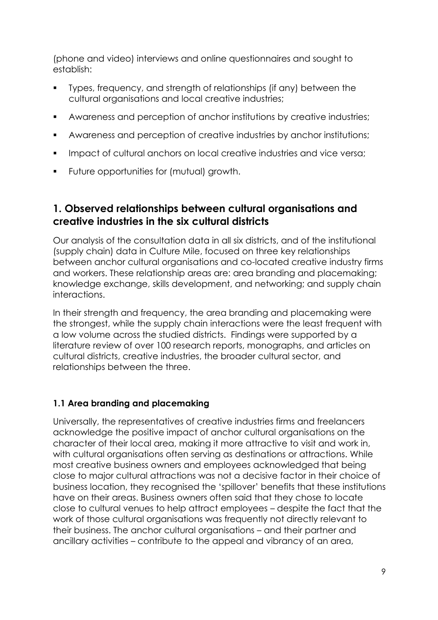(phone and video) interviews and online questionnaires and sought to establish:

- Types, frequency, and strength of relationships (if any) between the cultural organisations and local creative industries;
- Awareness and perception of anchor institutions by creative industries;
- Awareness and perception of creative industries by anchor institutions;
- **•** Impact of cultural anchors on local creative industries and vice versa;
- Future opportunities for (mutual) growth.

## <span id="page-8-0"></span>**1. Observed relationships between cultural organisations and creative industries in the six cultural districts**

Our analysis of the consultation data in all six districts, and of the institutional (supply chain) data in Culture Mile, focused on three key relationships between anchor cultural organisations and co-located creative industry firms and workers. These relationship areas are: area branding and placemaking; knowledge exchange, skills development, and networking; and supply chain interactions.

In their strength and frequency, the area branding and placemaking were the strongest, while the supply chain interactions were the least frequent with a low volume across the studied districts. Findings were supported by a literature review of over 100 research reports, monographs, and articles on cultural districts, creative industries, the broader cultural sector, and relationships between the three.

#### <span id="page-8-1"></span>**1.1 Area branding and placemaking**

Universally, the representatives of creative industries firms and freelancers acknowledge the positive impact of anchor cultural organisations on the character of their local area, making it more attractive to visit and work in, with cultural organisations often serving as destinations or attractions. While most creative business owners and employees acknowledged that being close to major cultural attractions was not a decisive factor in their choice of business location, they recognised the 'spillover' benefits that these institutions have on their areas. Business owners often said that they chose to locate close to cultural venues to help attract employees – despite the fact that the work of those cultural organisations was frequently not directly relevant to their business. The anchor cultural organisations – and their partner and ancillary activities – contribute to the appeal and vibrancy of an area,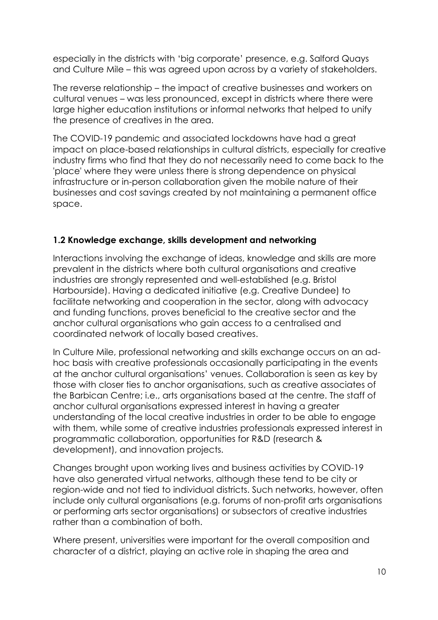especially in the districts with 'big corporate' presence, e.g. Salford Quays and Culture Mile – this was agreed upon across by a variety of stakeholders.

The reverse relationship – the impact of creative businesses and workers on cultural venues – was less pronounced, except in districts where there were large higher education institutions or informal networks that helped to unify the presence of creatives in the area.

The COVID-19 pandemic and associated lockdowns have had a great impact on place-based relationships in cultural districts, especially for creative industry firms who find that they do not necessarily need to come back to the 'place' where they were unless there is strong dependence on physical infrastructure or in-person collaboration given the mobile nature of their businesses and cost savings created by not maintaining a permanent office space.

#### <span id="page-9-0"></span>**1.2 Knowledge exchange, skills development and networking**

Interactions involving the exchange of ideas, knowledge and skills are more prevalent in the districts where both cultural organisations and creative industries are strongly represented and well-established (e.g. Bristol Harbourside). Having a dedicated initiative (e.g. Creative Dundee) to facilitate networking and cooperation in the sector, along with advocacy and funding functions, proves beneficial to the creative sector and the anchor cultural organisations who gain access to a centralised and coordinated network of locally based creatives.

In Culture Mile, professional networking and skills exchange occurs on an adhoc basis with creative professionals occasionally participating in the events at the anchor cultural organisations' venues. Collaboration is seen as key by those with closer ties to anchor organisations, such as creative associates of the Barbican Centre; i.e., arts organisations based at the centre. The staff of anchor cultural organisations expressed interest in having a greater understanding of the local creative industries in order to be able to engage with them, while some of creative industries professionals expressed interest in programmatic collaboration, opportunities for R&D (research & development), and innovation projects.

Changes brought upon working lives and business activities by COVID-19 have also generated virtual networks, although these tend to be city or region-wide and not tied to individual districts. Such networks, however, often include only cultural organisations (e.g. forums of non-profit arts organisations or performing arts sector organisations) or subsectors of creative industries rather than a combination of both.

Where present, universities were important for the overall composition and character of a district, playing an active role in shaping the area and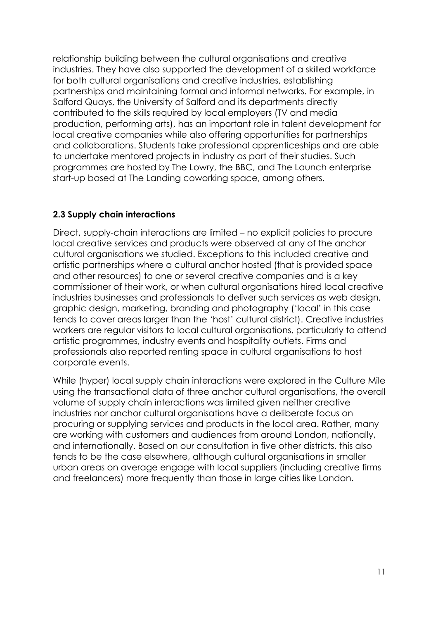relationship building between the cultural organisations and creative industries. They have also supported the development of a skilled workforce for both cultural organisations and creative industries, establishing partnerships and maintaining formal and informal networks. For example, in Salford Quays, the University of Salford and its departments directly contributed to the skills required by local employers (TV and media production, performing arts), has an important role in talent development for local creative companies while also offering opportunities for partnerships and collaborations. Students take professional apprenticeships and are able to undertake mentored projects in industry as part of their studies. Such programmes are hosted by The Lowry, the BBC, and The Launch enterprise start-up based at The Landing coworking space, among others.

#### <span id="page-10-0"></span>**2.3 Supply chain interactions**

Direct, supply-chain interactions are limited – no explicit policies to procure local creative services and products were observed at any of the anchor cultural organisations we studied. Exceptions to this included creative and artistic partnerships where a cultural anchor hosted (that is provided space and other resources) to one or several creative companies and is a key commissioner of their work, or when cultural organisations hired local creative industries businesses and professionals to deliver such services as web design, graphic design, marketing, branding and photography ('local' in this case tends to cover areas larger than the 'host' cultural district). Creative industries workers are regular visitors to local cultural organisations, particularly to attend artistic programmes, industry events and hospitality outlets. Firms and professionals also reported renting space in cultural organisations to host corporate events.

While (hyper) local supply chain interactions were explored in the Culture Mile using the transactional data of three anchor cultural organisations, the overall volume of supply chain interactions was limited given neither creative industries nor anchor cultural organisations have a deliberate focus on procuring or supplying services and products in the local area. Rather, many are working with customers and audiences from around London, nationally, and internationally. Based on our consultation in five other districts, this also tends to be the case elsewhere, although cultural organisations in smaller urban areas on average engage with local suppliers (including creative firms and freelancers) more frequently than those in large cities like London.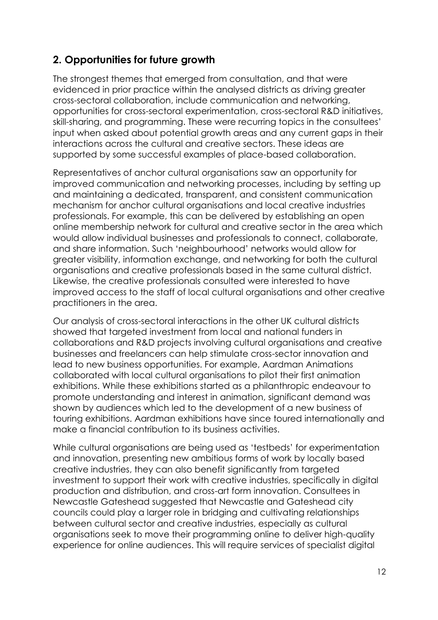## <span id="page-11-0"></span>**2. Opportunities for future growth**

The strongest themes that emerged from consultation, and that were evidenced in prior practice within the analysed districts as driving greater cross-sectoral collaboration, include communication and networking, opportunities for cross-sectoral experimentation, cross-sectoral R&D initiatives, skill-sharing, and programming. These were recurring topics in the consultees' input when asked about potential growth areas and any current gaps in their interactions across the cultural and creative sectors. These ideas are supported by some successful examples of place-based collaboration.

Representatives of anchor cultural organisations saw an opportunity for improved communication and networking processes, including by setting up and maintaining a dedicated, transparent, and consistent communication mechanism for anchor cultural organisations and local creative industries professionals. For example, this can be delivered by establishing an open online membership network for cultural and creative sector in the area which would allow individual businesses and professionals to connect, collaborate, and share information. Such 'neighbourhood' networks would allow for greater visibility, information exchange, and networking for both the cultural organisations and creative professionals based in the same cultural district. Likewise, the creative professionals consulted were interested to have improved access to the staff of local cultural organisations and other creative practitioners in the area.

Our analysis of cross-sectoral interactions in the other UK cultural districts showed that targeted investment from local and national funders in collaborations and R&D projects involving cultural organisations and creative businesses and freelancers can help stimulate cross-sector innovation and lead to new business opportunities. For example, Aardman Animations collaborated with local cultural organisations to pilot their first animation exhibitions. While these exhibitions started as a philanthropic endeavour to promote understanding and interest in animation, significant demand was shown by audiences which led to the development of a new business of touring exhibitions. Aardman exhibitions have since toured internationally and make a financial contribution to its business activities.

While cultural organisations are being used as 'testbeds' for experimentation and innovation, presenting new ambitious forms of work by locally based creative industries, they can also benefit significantly from targeted investment to support their work with creative industries, specifically in digital production and distribution, and cross-art form innovation. Consultees in Newcastle Gateshead suggested that Newcastle and Gateshead city councils could play a larger role in bridging and cultivating relationships between cultural sector and creative industries, especially as cultural organisations seek to move their programming online to deliver high-quality experience for online audiences. This will require services of specialist digital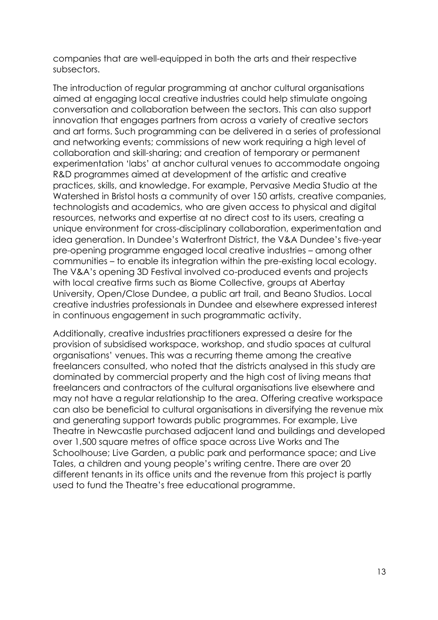companies that are well-equipped in both the arts and their respective subsectors.

The introduction of regular programming at anchor cultural organisations aimed at engaging local creative industries could help stimulate ongoing conversation and collaboration between the sectors. This can also support innovation that engages partners from across a variety of creative sectors and art forms. Such programming can be delivered in a series of professional and networking events; commissions of new work requiring a high level of collaboration and skill-sharing; and creation of temporary or permanent experimentation 'labs' at anchor cultural venues to accommodate ongoing R&D programmes aimed at development of the artistic and creative practices, skills, and knowledge. For example, Pervasive Media Studio at the Watershed in Bristol hosts a community of over 150 artists, creative companies, technologists and academics, who are given access to physical and digital resources, networks and expertise at no direct cost to its users, creating a unique environment for cross-disciplinary collaboration, experimentation and idea generation. In Dundee's Waterfront District, the V&A Dundee's five-year pre-opening programme engaged local creative industries – among other communities – to enable its integration within the pre-existing local ecology. The V&A's opening 3D Festival involved co-produced events and projects with local creative firms such as Biome Collective, groups at Abertay University, Open/Close Dundee, a public art trail, and Beano Studios. Local creative industries professionals in Dundee and elsewhere expressed interest in continuous engagement in such programmatic activity.

Additionally, creative industries practitioners expressed a desire for the provision of subsidised workspace, workshop, and studio spaces at cultural organisations' venues. This was a recurring theme among the creative freelancers consulted, who noted that the districts analysed in this study are dominated by commercial property and the high cost of living means that freelancers and contractors of the cultural organisations live elsewhere and may not have a regular relationship to the area. Offering creative workspace can also be beneficial to cultural organisations in diversifying the revenue mix and generating support towards public programmes. For example, Live Theatre in Newcastle purchased adjacent land and buildings and developed over 1,500 square metres of office space across Live Works and The Schoolhouse; Live Garden, a public park and performance space; and Live Tales, a children and young people's writing centre. There are over 20 different tenants in its office units and the revenue from this project is partly used to fund the Theatre's free educational programme.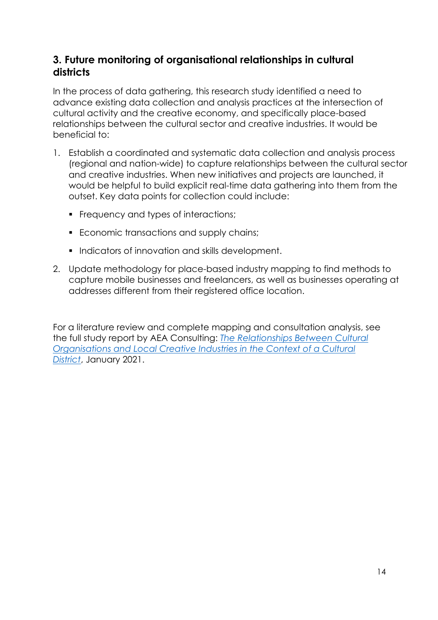## <span id="page-13-0"></span>**3. Future monitoring of organisational relationships in cultural districts**

In the process of data gathering, this research study identified a need to advance existing data collection and analysis practices at the intersection of cultural activity and the creative economy, and specifically place-based relationships between the cultural sector and creative industries. It would be beneficial to:

- 1. Establish a coordinated and systematic data collection and analysis process (regional and nation-wide) to capture relationships between the cultural sector and creative industries. When new initiatives and projects are launched, it would be helpful to build explicit real-time data gathering into them from the outset. Key data points for collection could include:
	- **•** Frequency and types of interactions:
	- Economic transactions and supply chains;
	- Indicators of innovation and skills development.
- 2. Update methodology for place-based industry mapping to find methods to capture mobile businesses and freelancers, as well as businesses operating at addresses different from their registered office location.

For a literature review and complete mapping and consultation analysis, see the full study report by AEA Consulting: *[The Relationships Between Cultural](https://aeaconsulting.com/insights/the_relationships_between_cultural_organisations_and_local_creative_industries_in_the_context_of_a_cultural_district)  [Organisations and Local Creative Industries in the Context of a Cultural](https://aeaconsulting.com/insights/the_relationships_between_cultural_organisations_and_local_creative_industries_in_the_context_of_a_cultural_district)  [District](https://aeaconsulting.com/insights/the_relationships_between_cultural_organisations_and_local_creative_industries_in_the_context_of_a_cultural_district)*, January 2021.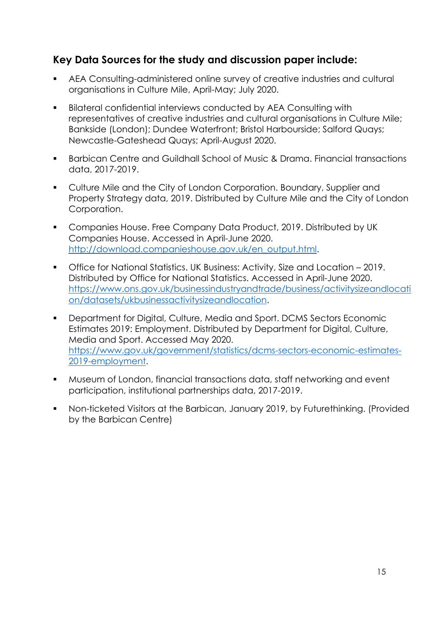## <span id="page-14-0"></span>**Key Data Sources for the study and discussion paper include:**

- AEA Consulting-administered online survey of creative industries and cultural organisations in Culture Mile, April-May; July 2020.
- Bilateral confidential interviews conducted by AEA Consulting with representatives of creative industries and cultural organisations in Culture Mile; Bankside (London); Dundee Waterfront; Bristol Harbourside; Salford Quays; Newcastle-Gateshead Quays; April-August 2020.
- Barbican Centre and Guildhall School of Music & Drama. Financial transactions data, 2017-2019.
- Culture Mile and the City of London Corporation. Boundary, Supplier and Property Strategy data, 2019. Distributed by Culture Mile and the City of London Corporation.
- Companies House. Free Company Data Product, 2019. Distributed by UK Companies House. Accessed in April-June 2020. [http://download.companieshouse.gov.uk/en\\_output.html.](http://download.companieshouse.gov.uk/en_output.html)
- Office for National Statistics. UK Business: Activity, Size and Location 2019. Distributed by Office for National Statistics. Accessed in April-June 2020. [https://www.ons.gov.uk/businessindustryandtrade/business/activitysizeandlocati](https://www.ons.gov.uk/businessindustryandtrade/business/activitysizeandlocation/datasets/ukbusinessactivitysizeandlocation) [on/datasets/ukbusinessactivitysizeandlocation.](https://www.ons.gov.uk/businessindustryandtrade/business/activitysizeandlocation/datasets/ukbusinessactivitysizeandlocation)
- Department for Digital, Culture, Media and Sport. DCMS Sectors Economic Estimates 2019: Employment. Distributed by Department for Digital, Culture, Media and Sport. Accessed May 2020. [https://www.gov.uk/government/statistics/dcms-sectors-economic-estimates-](https://www.gov.uk/government/statistics/dcms-sectors-economic-estimates-2019-employment)[2019-employment.](https://www.gov.uk/government/statistics/dcms-sectors-economic-estimates-2019-employment)
- Museum of London, financial transactions data, staff networking and event participation, institutional partnerships data, 2017-2019.
- Non-ticketed Visitors at the Barbican, January 2019, by Futurethinking. (Provided by the Barbican Centre)